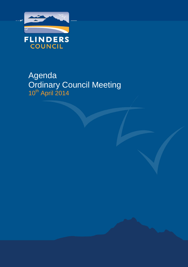

# Agenda Ordinary Council Meeting 10<sup>th</sup> April 2014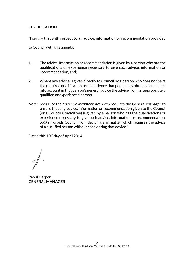#### **CERTIFICATION**

"I certify that with respect to all advice, information or recommendation provided

to Council with this agenda:

- 1. The advice, information or recommendation is given by a person who has the qualifications or experience necessary to give such advice, information or recommendation, and;
- 2. Where any advice is given directly to Council by a person who does not have the required qualifications or experience that person has obtained and taken into account in that person's general advice the advice from an appropriately qualified or experienced person.
- Note: S65(1) of the *Local Government Act 1993* requires the General Manager to ensure that any advice, information or recommendation given to the Council (or a Council Committee) is given by a person who has the qualifications or experience necessary to give such advice, information or recommendation. S65(2) forbids Council from deciding any matter which requires the advice of a qualified person without considering that advice."

Dated this 10<sup>th</sup> day of April 2014.

Raoul Harper GENERAL MANAGER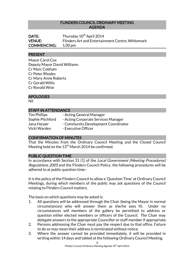#### FLINDERS COUNCIL ORDINARY MEETING AGENDA

| DATE:              | Thursday 10 <sup>th</sup> April 2014             |
|--------------------|--------------------------------------------------|
| <b>VENUE:</b>      | Flinders Art and Entertainment Centre, Whitemark |
| <b>COMMENCING:</b> | $1.00 \,\mathrm{pm}$                             |

#### PRESENT

Mayor Carol Cox Deputy Mayor David Williams Cr Marc Cobham Cr Peter Rhodes Cr Mary-Anne Roberts Cr Gerald Willis Cr Ronald Wise

#### APOLOGIES

Nil

#### STAFF IN ATTENDANCE

| <b>Tim Phillips</b> | - Acting General Manager            |
|---------------------|-------------------------------------|
| Sophie Pitchford    | - Acting Corporate Services Manager |
| Jana Harper         | - Community Development Coordinator |
| Vicki Warden        | - Executive Officer                 |

#### CONFIRMATION OF MINUTES

That the Minutes from the Ordinary Council Meeting and the Closed Council Meeting held on the  $13^{\rm th}$  March 2014 be confirmed.

#### PUBLIC QUESTION TIME

In accordance with Section 31 (1) of the Local Government (Meeting Procedures) Regulations 2005 and the Flinders Council Policy, the following procedures will be adhered to at public question time:-

It is the policy of the Flinders Council to allow a 'Question Time' at Ordinary Council Meetings, during which members of the public may ask questions of the Council relating to Flinders Council matters.

The basis on which questions may be asked is:

- 1. All questions will be addressed through the Chair (being the Mayor in normal circumstances) who will answer them as she/he sees fit. Under no circumstances will members of the gallery be permitted to address or question either elected members or officers of the Council. The Chair may delegate answers to the appropriate Councillor or staff member if appropriate.
- 2. Persons addressing the Chair must pay the respect due to that office. Failure to do so may mean their address is terminated without notice.
- 3. Where the answer cannot be provided immediately, it will be provided in writing within 14 days and tabled at the following Ordinary Council Meeting.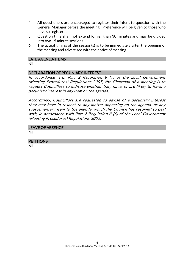- 4. All questioners are encouraged to register their intent to question with the General Manager before the meeting. Preference will be given to those who have so registered.
- 5. Question time shall not extend longer than 30 minutes and may be divided into two 15 minute sessions.
- 6. The actual timing of the session(s) is to be immediately after the opening of the meeting and advertised with the notice of meeting.

#### LATE AGENDA ITEMS

Nil

#### DECLARATION OF PECUNIARY INTEREST

In accordance with Part 2 Regulation 8 (7) of the Local Government (Meeting Procedures) Regulations 2005, the Chairman of a meeting is to request Councillors to indicate whether they have, or are likely to have, a pecuniary interest in any item on the agenda.

Accordingly, Councillors are requested to advise of a pecuniary interest they may have in respect to any matter appearing on the agenda, or any supplementary item to the agenda, which the Council has resolved to deal with, in accordance with Part 2 Regulation 8 (6) of the Local Government (Meeting Procedures) Regulations 2005.

#### LEAVE OF ABSENCE

Nil

#### **PETITIONS**

Nil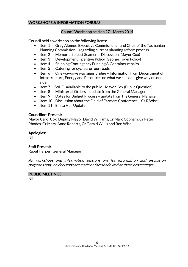# WORKSHOPS & INFORMATION FORUMS

# Council Workshop held on 27<sup>th</sup> March 2014

Council held a workshop on the following items:

- Item 1 Greg Alomes, Executive Commissioner and Chair of the Tasmanian Planning Commission – regarding current planning reform process
- Item 2 Memorial to Lost Seamen Discussion (Mayor Cox)
- Item 3 Development Incentive Policy (George Town Policy)
- Item 4 Shipping Contingency Funding & Container repairs
- $\bullet$  Item 5 Catering for cyclists on our roads
- Item 6 One way/give way signs bridge Information from Department of Infrastructure, Energy and Resources on what we can do – give way on one side
- Item 7 Wi-Fi available to the public-Mayor Cox (Public Question)
- Item 8 Ministerial Orders update from the General Manager
- Item 9 Dates for Budget Process update from the General Manager
- Item 10 Discussion about the Field of Farmers Conference Cr R Wise
- Item 11 Emita Hall Update

### Councillors Present:

Mayor Carol Cox, Deputy Mayor David Williams, Cr Marc Cobham, Cr Peter Rhodes, Cr Mary-Anne Roberts, Cr Gerald Willis and Ron Wise.

# Apologies:

Nil

### Staff Present:

Raoul Harper (General Manager)

As workshops and information sessions are for information and discussion purposes only, no decisions are made or foreshadowed at these proceedings.

### PUBLIC MEETINGS

Nil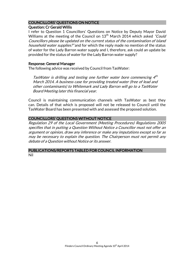# COUNCILLORS' QUESTIONS ON NOTICE

# Question: Cr Gerald Willis

I refer to Question 1 Councillors' Questions on Notice by Deputy Mayor David Williams at the meeting of the Council on  $13<sup>th</sup>$  March 2014 which asked "Could" Councillors please be updated on the current status of the contamination of island household water supplies?" and for which the reply made no mention of the status of water for the Lady Barron water supply and I, therefore, ask could an update be provided for the status of water for the Lady Barron water supply?

#### Response: General Manager

The following advice was received by Council from TasWater:

TasWater is drilling and testing one further water bore commencing 4<sup>th</sup> March 2014. A business case for providing treated water (free of lead and other contaminants) to Whitemark and Lady Barron will go to a TasWater Board Meeting later this financial year.

Council is maintaining communication channels with TasWater as best they can. Details of that which is proposed will not be released to Council until the TasWater Board has been presented with and assessed the proposed solution.

# COUNCILLORS' QUESTIONS WITHOUT NOTICE

Regulation 29 of the Local Government (Meeting Procedures) Regulations 2005 specifies that in putting a Question Without Notice a Councillor must not offer an argument or opinion, draw any inference or make any imputations except so far as may be necessary to explain the question. The Chairperson must not permit any debate of a Question without Notice or its answer.

#### PUBLICATIONS/REPORTS TABLED FOR COUNCIL INFORMATION Nil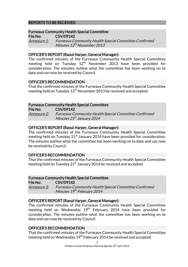# REPORTS TO BE RECEIVED

# Furneaux Community Health Special Committee

File No: CSV/09142 Annexure 1: Furneaux Community Health Special Committee Confirmed Minutes 12<sup>th</sup> November 2013

#### OFFICER'S REPORT (Raoul Harper, General Manager):

The confirmed minutes of the Furneaux Community Health Special Committee meeting held on Tuesday  $12<sup>th</sup>$  November 2013 have been provided for consideration. The minutes outline what the committee has been working on to date and can now be received by Council.

#### OFFICER'S RECOMMENDATION

That the confirmed minutes of the Furneaux Community Health Special Committee meeting held on Tuesday 12<sup>th</sup> November 2013 be received and accepted.

#### Furneaux Community Health Special Committee

File No: CSV/09142

Annexure 2: Furneaux Community Health Special Committee Confirmed Minutes 21<sup>st</sup> January 2014

#### OFFICER'S REPORT (Raoul Harper, General Manager):

The confirmed minutes of the Furneaux Community Health Special Committee meeting held on Tuesday  $21<sup>st</sup>$  January 2014 have been provided for consideration. The minutes outline what the committee has been working on to date and can now be received by Council.

### OFFICER'S RECOMMENDATION

That the confirmed minutes of the Furneaux Community Health Special Committee meeting held on Tuesday 21 $^{\rm st}$  January 2014 be received and accepted.

#### Furneaux Community Health Special Committee

File No: CSV/09142 Annexure 3: Furneaux Community Health Special Committee Confirmed Minutes 19<sup>th</sup> February 2014

#### OFFICER'S REPORT (Raoul Harper, General Manager):

The confirmed minutes of the Furneaux Community Health Special Committee meeting held on Wednesday  $19<sup>th</sup>$  February 2014 have been provided for consideration. The minutes outline what the committee has been working on to date and can now be received by Council.

### OFFICER'S RECOMMENDATION

That the confirmed minutes of the Furneaux Community Health Special Committee meeting held on Wednesday 19<sup>th</sup> February 2014 be received and accepted.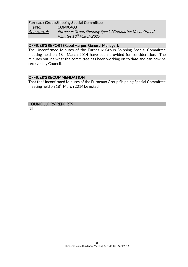#### Furneaux Group Shipping Special Committee File No: COM/0403

Annexure 4: Furneaux Group Shipping Special Committee Unconfirmed Minutes 18<sup>th</sup> March 2013

# OFFICER'S REPORT (Raoul Harper, General Manager):

The Unconfirmed Minutes of the Furneaux Group Shipping Special Committee meeting held on 18<sup>th</sup> March 2014 have been provided for consideration. The minutes outline what the committee has been working on to date and can now be received by Council.

### OFFICER'S RECOMMENDATION

That the Unconfirmed Minutes of the Furneaux Group Shipping Special Committee meeting held on 18<sup>th</sup> March 2014 be noted.

#### COUNCILLORS' REPORTS

Nil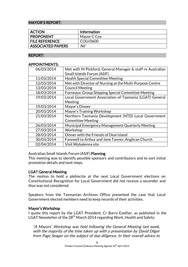#### MAYOR'S REPORT:

| <b>ACTION</b>            | <b>Information</b> |
|--------------------------|--------------------|
| <b>PROPONENT</b>         | Mayor C Cox        |
| <b>FILE REFERENCE</b>    | COU/0600           |
| <b>ASSOCIATED PAPERS</b> | Nil                |

#### REPORT:

#### APPOINTMENTS:

| 06/03/2014 | Met with M Pickford, General Manager & staff re Australian |  |
|------------|------------------------------------------------------------|--|
|            | Small Islands Forum (ASIF)                                 |  |
| 11/03/2014 | <b>Health Special Committee Meeting</b>                    |  |
| 12/03/2014 | Met with Director of Nursing at the Multi-Purpose Centre   |  |
| 13/03/2014 | <b>Council Meeting</b>                                     |  |
| 18/03/2014 | <b>Furneaux Group Shipping Special Committee Meeting</b>   |  |
| 19/03/2014 | Local Government Association of Tasmania (LGAT) General    |  |
|            | Meeting                                                    |  |
| 19/03/2014 | Mayor's Dinner                                             |  |
| 20/03/2014 | Mayor's Training Workshop                                  |  |
| 21/03/2014 | Northern Tasmania Development (NTD) Local Government       |  |
|            | <b>Committee Meeting</b>                                   |  |
| 26/03/2014 | Municipal Emergency Management Quarterly Meeting           |  |
| 27/03/2014 | Workshop                                                   |  |
| 28/03/2014 | Dinner with the Friends of Deal Island                     |  |
| 30/03/2014 | Farewell to Arthur and Jane Tanner, Anglican Church        |  |
| 02/04/2014 | Visit Wybalenna site                                       |  |
|            |                                                            |  |

#### Australian Small Islands Forum (ASIF) Planning

This meeting was to identify possible sponsors and contributors and to sort initial promotion details and next steps.

#### LGAT General Meeting

The motion to hold a plebiscite at the next Local Government elections on Constitutional Recognition for Local Government did not receive a seconder and thus was not considered.

Speakers from the Tasmanian Archives Office presented the case that Local Government elected members need to keep records of their activities.

#### Mayor's Workshop

I quote this report by the LGAT President, Cr Barry Easther, as published in the LGAT Newsletter of the 28<sup>th</sup> March 2014 regarding Work, Health and Safety:

"A Mayors' Workshop was held following the General Meeting last week, with the majority of the time taken up with a presentation by David Dilger from Page Seager on the subject of due diligence. In their overall advice to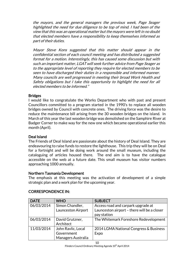the mayors, and the general managers the previous week, Page Seager highlighted the need for due diligence to be top of mind. I had been of the view that this was an operational matter but the mayors were left in no doubt that elected members have a responsibility to keep themselves informed as part of their duties.

Mayor Steve Kons suggested that this matter should appear in the confidential section of each council meeting and has distributed a suggested format for a motion. Interestingly, this has caused some discussion but with such an important matter, LGAT will seek further advice from Page Seager as to the appropriate level of reporting they require for elected members to be seen to have discharged their duties in a responsible and informed manner. Many councils are well progressed in meeting their broad Work Health and Safety obligations but I take this opportunity to highlight the need for all elected members to be informed."

#### **Bridges**

I would like to congratulate the Works Department who with past and present Councillors committed to a program started in the 1990's to replace all wooden bridges owned by Council with concrete ones. The driving force was the desire to reduce the maintenance bill arising from the 30 wooden bridges on the island. In March of this year the last wooden bridge was demolished on the Samphire River at Badger Corner to make way for the new one which became operational earlier this month (April).

### Deal Island

The Friends of Deal Island are passionate about the history of Deal Island. They are endeavouring to raise funds to restore the lighthouse. This trip they will be on Deal for a fortnight and will be doing work around the small museum, including the cataloguing of articles housed there. The end aim is to have the catalogue accessible on the web at a future date. This small museum has visitor numbers approaching 1000 annually.

### Northern Tasmania Development

The emphasis at this meeting was the activation of development of a simple strategic plan and a work plan for the upcoming year.

| <b>DATE</b> | <b>WHO</b>                                   | <b>SUBJECT</b>                                                                    |
|-------------|----------------------------------------------|-----------------------------------------------------------------------------------|
| 06/03/2014  | Simon Chandler,<br><b>Launceston Airport</b> | Access road and carpark upgrade at<br>Launceston airport - there will be a closer |
|             |                                              | pay station                                                                       |
| 06/03/2014  | David Grutzner,                              | The Whitemark Foreshore Redevelopment                                             |
|             | Architect                                    |                                                                                   |
| 11/03/2014  | John Ravlic, Local                           | 2014 LGMA National Congress & Business                                            |
|             | Government                                   | Expo                                                                              |
|             | Managers Australia                           |                                                                                   |

### CORRESPONDENCE IN: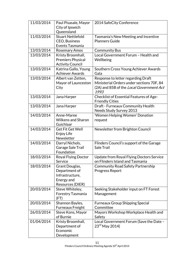| 11/03/2014 | Paul Pisasale, Mayor      | 2014 SafeCity Conference                         |
|------------|---------------------------|--------------------------------------------------|
|            | City of Ipswich           |                                                  |
|            | Queensland                |                                                  |
| 11/03/2014 | <b>Stuart Nettlefold</b>  | Tasmania's New Meeting and Incentive             |
|            | <b>CEO, Business</b>      | <b>Planners Guide</b>                            |
|            | Events Tasmania           |                                                  |
| 13/03/2014 | <b>Rosemary Amos</b>      | <b>Community Bus</b>                             |
| 13/03/2014 | Kristy Broomhall,         | Local Government Forum - Health and              |
|            | <b>Premiers Physical</b>  | Wellbeing                                        |
|            | <b>Activity Council</b>   |                                                  |
| 13/03/2014 | Katrina Gallo, Young      | Southern Cross Young Achiever Awards             |
|            | <b>Achiever Awards</b>    | Gala                                             |
| 13/03/2014 | Albert van Zetten,        | Response to letter regarding Draft               |
|            | Mayor of Launceston       | Ministerial Orders under sections 70F, 84        |
|            | City                      | (2A) and 85B of the Local Government Act<br>1993 |
| 13/03/2014 | Jana Harper               | Checklist of Essential Features of Age-          |
|            |                           | <b>Friendly Cities</b>                           |
| 13/03/2014 | Jana Harper               | Draft - Furneaux Community Health                |
|            |                           | Needs Study Survey 2013                          |
| 14/03/2014 | Anne-Maree                | 'Women Helping Women' Donation                   |
|            | <b>Wilkens and Sharon</b> | request                                          |
|            | Guichlaar                 |                                                  |
| 14/03/2014 | <b>Get Fit Get Well</b>   | Newsletter from Brighton Council                 |
|            | Enjoy Life                |                                                  |
|            | Newsletter                |                                                  |
| 14/03/2014 | Darryl Nichols,           | Flinders Council's support of the Garage         |
|            | Garage Sale Trail         | Sale Trail                                       |
|            | Foundation                |                                                  |
| 18/03/2014 | Royal Flying Doctor       | Update from Royal Flying Doctors Service         |
|            | Service                   | on Flinders Island and Tasmania                  |
| 18/03/2014 | Grant Douglas,            | <b>Community Road Safety Partnership</b>         |
|            | Department of             | <b>Progress Report</b>                           |
|            | Infrastructure,           |                                                  |
|            | Energy and                |                                                  |
|            | Resources (DIER)          |                                                  |
| 20/03/2014 | Steve Whiteley,           | Seeking Stakeholder input on FT Forest           |
|            | Forestry Tasmania         | Management                                       |
|            | (FT)                      |                                                  |
| 20/03/2014 | Shannon Bayles,           | <b>Furneaux Group Shipping Special</b>           |
|            | <b>Furneaux Freight</b>   | Committee                                        |
| 26/03/2014 | Steve Kons, Mayor         | Mayors Workshop Workplace Health and             |
|            | of Burnie                 | Safety                                           |
| 01/04/2014 | Kristy Broomhall,         | Local Government Forum (Save the Date -          |
|            | Department of             | $23rd$ May 2014)                                 |
|            | Economic                  |                                                  |
|            | Development               |                                                  |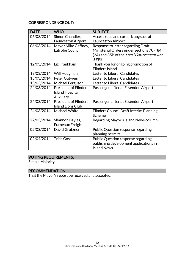# CORRESPONDENCE OUT:

| <b>DATE</b> | <b>WHO</b>                   | <b>SUBJECT</b>                                 |
|-------------|------------------------------|------------------------------------------------|
| 06/03/2014  | Simon Chandler,              | Access road and carpark upgrade at             |
|             | Launceston Airport           | Launceston Airport                             |
| 06/03/2014  | Mayor Mike Gaffney,          | Response to letter regarding Draft             |
|             | Latrobe Council              | Ministerial Orders under sections 70F, 84      |
|             |                              | (2A) and 85B of the Local Government Act       |
|             |                              | 1993                                           |
| 12/03/2014  | Liz Frankham                 | Thank you for ongoing promotion of             |
|             |                              | <b>Flinders Island</b>                         |
| 13/03/2014  | Will Hodgman                 | Letter to Liberal Candidates                   |
| 13/03/2014  | Peter Gutwein                | Letter to Liberal Candidates                   |
| 13/03/2014  | Michael Ferguson             | Letter to Liberal Candidates                   |
| 24/03/2014  | <b>President of Flinders</b> | Passenger Lifter at Essendon Airport           |
|             | <b>Island Hospital</b>       |                                                |
|             | Auxiliary                    |                                                |
| 24/03/2014  | <b>President of Flinders</b> | Passenger Lifter at Essendon Airport           |
|             | <b>Island Lions Club</b>     |                                                |
| 24/03/2014  | Michael White                | <b>Flinders Council Draft Interim Planning</b> |
|             |                              | Scheme                                         |
| 27/03/2014  | Shannon Bayles,              | Regarding Mayor's Island News column           |
|             | <b>Furneaux Freight</b>      |                                                |
| 02/03/2014  | David Grutzner               | Public Question response regarding             |
|             |                              | planning permits                               |
| 02/04/2014  | <b>Trish Goss</b>            | Public Question response regarding             |
|             |                              | publishing development applications in         |
|             |                              | <b>Island News</b>                             |

# VOTING REQUIREMENTS:

Simple Majority

# RECOMMENDATION:

That the Mayor's report be received and accepted.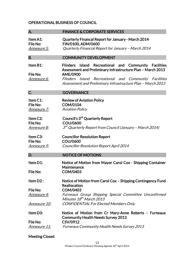# OPERATIONAL BUSINESS OF COUNCIL

| A.                                                | <b>FINANCE &amp; CORPORATE SERVICES</b>                                                                                                                                                             |  |  |
|---------------------------------------------------|-----------------------------------------------------------------------------------------------------------------------------------------------------------------------------------------------------|--|--|
| Item A1:<br><b>File No:</b>                       | <b>Quarterly Financal Report for January - March 2014</b><br>FIN/0100, ADM/0600                                                                                                                     |  |  |
| <u>Annexure 5:</u>                                | Quarterly Financial Report for January - March 2014                                                                                                                                                 |  |  |
| <b>B.</b>                                         | <b>COMMUNITY DEVELOPMENT</b>                                                                                                                                                                        |  |  |
| Item B1:<br><b>File No:</b><br><u>Annexure 6:</u> | Island Recreational and Community Facilities<br><b>Flinders</b><br>Assessment and Preliminary Infrastructure Plan - March 2013<br>AME/0900<br>Flinders Island Recreational and Community Facilities |  |  |
|                                                   | Assessment and Preliminary Infrastructure Plan - March 2013                                                                                                                                         |  |  |
| C.                                                | <b>GOVERNANCE</b>                                                                                                                                                                                   |  |  |
| Item C1:<br>File No:<br><u> Annexure 7:</u>       | <b>Review of Aviation Policy</b><br><b>COM/0104</b><br><b>Aviation Policy</b>                                                                                                                       |  |  |
| Item C2:                                          | Council's 3 <sup>rd</sup> Quarterly Report                                                                                                                                                          |  |  |
| File No:<br><u>Annexure 8:</u>                    | <b>COU/0600</b><br>3 <sup>rd</sup> Quarterly Report from Council (January - March 2014)                                                                                                             |  |  |
| Item C3:<br>File No:                              | <b>Councillor Resolution Report</b><br><b>COU/0600</b>                                                                                                                                              |  |  |
| <u>Annexure 9:</u>                                | <b>Councillor Resolution Report April 2014</b>                                                                                                                                                      |  |  |
| D.                                                | <b>NOTICE OF MOTIONS</b>                                                                                                                                                                            |  |  |
| Item D1:                                          | Notice of Motion from Mayor Carol Cox - Shipping Container<br>Maintenance                                                                                                                           |  |  |
| File No:                                          | <b>COM/0403</b>                                                                                                                                                                                     |  |  |
| Item D2:                                          | Notice of Motion from Carol Cox - Shipping Contingency Fund<br><b>Reallocation</b>                                                                                                                  |  |  |
| File No:                                          | <b>COM/0403</b>                                                                                                                                                                                     |  |  |
| <u>Annexure 4:</u>                                | Furneaux Group Shipping Special Committee Unconfirmed<br><i>Minutes 18<sup>th</sup> March 2013</i>                                                                                                  |  |  |
| <u>Annexure 10:</u>                               | <b>CONFIDENTIAL For Elected Members Only</b>                                                                                                                                                        |  |  |
| Item D3:                                          | Notice of Motion from Cr Mary-Anne Roberts – Furneaux<br><b>Community Health Needs Survey 2013</b>                                                                                                  |  |  |
| <b>File No:</b><br><u>Annexure 11:</u>            | CSV/0912<br><b>Furneaux Community Health Needs Survey 2013</b>                                                                                                                                      |  |  |
|                                                   |                                                                                                                                                                                                     |  |  |

# Meeting Closed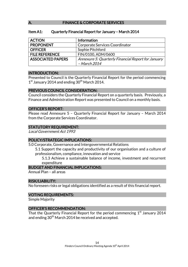#### A. FINANCE & CORPORATE SERVICES

#### Item A1: Quarterly Financial Report for January – March 2014

| <b>ACTION</b>            | <b>Information</b>                                                 |  |
|--------------------------|--------------------------------------------------------------------|--|
| <b>PROPONENT</b>         | Corporate Services Coordinator                                     |  |
| <b>OFFICER</b>           | Sophie Pitchford                                                   |  |
| <b>FILE REFERENCE</b>    | FIN/0100, ADM/0600                                                 |  |
| <b>ASSOCIATED PAPERS</b> | Annexure 5: Quarterly Financial Report for January<br>- March 2014 |  |

#### INTRODUCTION:

Presented to Council is the Quarterly Financial Report for the period commencing 1<sup>st</sup> January 2014 and ending 30<sup>th</sup> March 2014.

#### PREVIOUS COUNCIL CONSIDERATION:

Council considers the Quarterly Financial Report on a quarterly basis. Previously, a Finance and Administration Report was presented to Council on a monthly basis.

#### OFFICER'S REPORT:

Please read Annexure 5 – Quarterly Financial Report for January – March 2014 from the Corporate Services Coordinator.

#### STATUTORY REQUIREMENT:

Local Government Act 1993

### POLICY/STRATEGIC IMPLICATIONS:

5.0 Corporate, Governance and Intergovernmental Relations

5.1 Support the capacity and productivity of our organisation and a culture of professionalism, compliance, innovation and service

5.1.3 Achieve a sustainable balance of income, investment and recurrent expenditure

#### BUDGET AND FINANCIAL IMPLICATIONS:

Annual Plan – all areas

#### RISK/LIABILITY:

No foreseen risks or legal obligations identified as a result of this financial report.

#### VOTING REQUIREMENTS:

Simple Majority

#### OFFICER'S RECOMMENDATION:

That the Quarterly Financial Report for the period commencing  $1<sup>st</sup>$  January 2014 and ending  $30<sup>th</sup>$  March 2014 be received and accepted.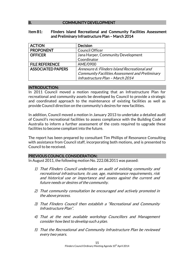### B. COMMUNITY DEVELOPMENT

#### Item B1: Flinders Island Recreational and Community Facilities Assessment and Preliminary Infrastructure Plan – March 2014

| <b>ACTION</b>            | <b>Decision</b>                                        |  |
|--------------------------|--------------------------------------------------------|--|
| <b>PROPONENT</b>         | <b>Council Officer</b>                                 |  |
| <b>OFFICER</b>           | Jana Harper, Community Development                     |  |
|                          | Coordinator                                            |  |
| <b>FILE REFERENCE</b>    | AME/0900                                               |  |
| <b>ASSOCIATED PAPERS</b> | Annexure 6: Flinders Island Recreational and           |  |
|                          | <b>Community Facilities Assessment and Preliminary</b> |  |
|                          | Infrastructure Plan - March 2014                       |  |

#### INTRODUCTION:

In 2011 Council moved a motion requesting that an Infrastructure Plan for recreational and community assets be developed by Council to provide a strategic and coordinated approach to the maintenance of existing facilities as well as provide Council direction on the community's desires for new facilities.

In addition, Council moved a motion in January 2013 to undertake a detailed audit of Council's recreational facilities to assess compliance with the Building Code of Australia to inform a further assessment of the costs required to upgrade these facilities to become compliant into the future.

The report has been prepared by consultant Tim Phillips of Resonance Consulting with assistance from Council staff, incorporating both motions, and is presented to Council to be received.

#### PREVIOUS COUNCIL CONSIDERATION:

In August 2011, the following motion No. 222.08.2011 was passed:

- 1) That Flinders Council undertakes an audit of existing community and recreational infrastructure, its use, age, maintenance requirements, risk and historical use or importance and assess against the current and future needs or desires of the community.
- 2) That community consultation be encouraged and actively promoted in the above process.
- 3) That Flinders Council then establish a "Recreational and Community Infrastructure Plan".
- 4) That at the next available workshop Councillors and Management consider how best to develop such a plan.
- 5) That the Recreational and Community Infrastructure Plan be reviewed every two years.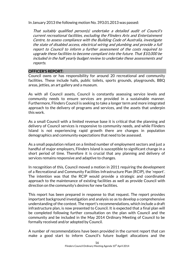In January 2013 the following motion No. 393.01.2013 was passed:

That suitably qualified person(s) undertake a detailed audit of Council's current recreational facilities, excluding the Flinders Arts and Entertainment Centre, to assess compliance with the Building Code of Australia, investigate the state of disabled access, electrical wiring and plumbing and provide a full report to Council to inform a further assessment of the costs required to upgrade these facilities to become compliant into the future. That \$10,000 be included in the half yearly budget review to undertake these assessments and reports.

#### OFFICER'S REPORT:

Council owns or has responsibility for around 20 recreational and community facilities. These include halls, public toilets, sports grounds, playgrounds, BBQ areas, jetties, an art gallery and a museum.

As with all Council assets, Council is constantly assessing service levels and community needs to ensure services are provided in a sustainable manner. Furthermore, Flinders Council is seeking to take a longer term and more integrated approach to the delivery of programs and services, and the assets that underpin this work.

As a small Council with a limited revenue base it is critical that the planning and delivery of Council services is responsive to community needs, and while Flinders Island is not experiencing rapid growth there are changes in population demographics and community expectations that need to be assessed.

As a small population reliant on a limited number of employment sectors and just a handful of major employers, Flinders Island is susceptible to significant change in a short period of time. Therefore it is crucial that any planning and delivery of services remains responsive and adaptive to changes.

In recognition of this, Council moved a motion in 2011 requiring the development of a Recreational and Community Facilities Infrastructure Plan (RCIP), the 'report'. The intention was that the RCIP would provide a strategic and coordinated approach to the maintenance of existing facilities as well as provide Council with direction on the community's desires for new facilities.

This report has been prepared in response to that request. The report provides important background investigation and analysis so as to develop a comprehensive understanding of the context. The report's recommendations, which include a draft infrastructure plan, is now presented to Council. It is expected that a final plan will be completed following further consultation on the plan with Council and the community and be included in the May 2014 Ordinary Meeting of Council to be formally received and/or adopted by Council.

A number of recommendations have been provided in the current report that can make a good start to inform Council's future budget allocations and the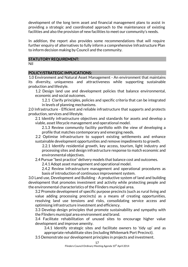development of the long term asset and financial management plans to assist in providing a strategic and coordinated approach to the maintenance of existing facilities and also the provision of new facilities to meet our community's needs.

In addition, the report also provides some recommendations that will require further enquiry of alternatives to fully inform a comprehensive Infrastructure Plan to inform decision making by Council and the community.

#### STATUTORY REQUIREMENT:

Nil

#### POLICY/STRATEGIC IMPLICATIONS:

1.0 Environment and Natural Asset Management - An environment that maintains its diversity, uniqueness and attractiveness while supporting sustainable production and lifestyle.

1.2 Design land use and development policies that balance environmental, economic and social outcomes.

1.2.1 Clarify principles, policies and specific criteria that can be integrated in levels of planning mechanisms.

2.0 Infrastructure - Efficient and reliable infrastructure that supports and protects production, services and lifestyle.

2.1 Identify infrastructure objectives and standards for assets and develop a viable, asset lifecycle management and operational model.

2.1.3 Review community facility portfolio with the view of developing a profile that matches contemporary and emerging needs.

2.2 Optimise infrastructure to support existing settlements and enhance sustainable development opportunities and remove impediments to growth.

2.2.1 Identify residential growth, key access, tourism, light industry and processing sites and design infrastructure response to match economic and environmental objectives.

2.4 Pursue "best practice" delivery models that balance cost and outcomes.

2.4.1 Adopt asset management and operational model.

2.4.2 Review infrastructure management and operational procedures as basis of introduction of continuous improvement system.

3.0 Land use, Development and Building - A productive system of land and building development that promotes investment and activity while protecting people and the environmental characteristics of the Flinders municipal area.

3.2 Promote development of specific purpose precincts (such as rural living and value adding processing precincts) as a means of creating opportunities, resolving land use tensions and risks, consolidating service access and optimising infrastructure investment and efficiency.

3.3 Develop design principles that promote sustainability and sympathy with the Flinders municipal area environment and brand.

3.4 Facilitate rehabilitation of unused sites to encourage higher value development and improve amenity.

3.4.1 Identify strategic sites and facilitate owners to 'tidy up' and as appropriate rehabilitate sites (including Whitemark Port Precinct).

3.5 Demonstrate our development principles in projects and investment.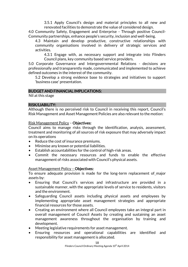3.5.1 Apply Council's design and material principles to all new and renovated facilities to demonstrate the value of considered design.

4.0 Community Safety, Engagement and Enterprise - Through positive Council-Community partnerships, enhance people's security, inclusion and well-being.

4.3 Maintain and develop productive, constructive relationships with community organisations involved in delivery of strategic services and activities.

4.3.1 Engage with, as necessary support and integrate into Flinders Council plans, key community based service providers.

5.0 Corporate Governance and Intergovernmental Relations - decisions are professionally and transparently made, communicated and implemented to achieve defined outcomes in the interest of the community.

5.2 Develop a strong evidence base to strategies and initiatives to support 'business case' presentation.

#### BUDGET AND FINANCIAL IMPLICATIONS:

Nil at this stage

#### RISK/LIABILITY:

Although there is no perceived risk to Council in receiving this report, Council's Risk Management and Asset Management Policies are also relevant to the motion:

#### Risk Management Policy – Objectives:

Council aims to manage risks through the identification, analysis, assessment, treatment and monitoring of all sources of risk exposure that may adversely impact on its operations

- Reduce the cost of insurance premiums.
- Minimise any known or potential liabilities.
- Establish accountabilities for the control of high-risk areas.
- Commit the necessary resources and funds to enable the effective management of risks associated with Council's physical assets.

#### Asset Management Policy – Objectives:

To ensure adequate provision is made for the long-term replacement of major assets by:

- Ensuring that Council's services and infrastructure are provided in a sustainable manner, with the appropriate levels of service to residents, visitors and the environment.
- Safeguarding Council assets including physical assets and employees by implementing appropriate asset management strategies and appropriate financial resources for those assets.
- Creating an environment where all Council employees take an integral part in overall management of Council Assets by creating and sustaining an asset management awareness throughout the organisation by training and development.
- Meeting legislative requirements for asset management.
- Ensuring resources and operational capabilities are identified and responsibility for asset management is allocated.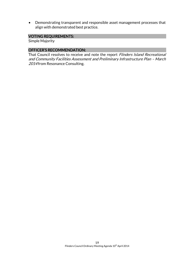• Demonstrating transparent and responsible asset management processes that align with demonstrated best practice.

# VOTING REQUIREMENTS:

Simple Majority

#### OFFICER'S RECOMMENDATION:

That Council resolves to receive and note the report Flinders Island Recreational and Community Facilities Assessment and Preliminary Infrastructure Plan – March 2014 from Resonance Consulting.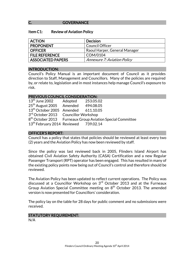#### C. **GOVERNANCE**

#### Item C1: Review of Aviation Policy

| <b>ACTION</b>            | <b>Decision</b>                    |
|--------------------------|------------------------------------|
| <b>PROPONENT</b>         | <b>Council Officer</b>             |
| <b>OFFICER</b>           | Raoul Harper, General Manager      |
| <b>FILE REFERENCE</b>    | COM/0104                           |
| <b>ASSOCIATED PAPERS</b> | <b>Annexure 7: Aviation Policy</b> |

#### INTRODUCTION:

Council's Policy Manual is an important document of Council as it provides direction to Staff, Management and Councillors. Many of the policies are required by, or relate to, legislation and in most instances help manage Council's exposure to risk.

#### PREVIOUS COUNCIL CONSIDERATION:

| $13th$ June 2002 Adopted                         | 253.05.02                                                              |
|--------------------------------------------------|------------------------------------------------------------------------|
| $25^{th}$ August 2005 Amended 494.08.05          |                                                                        |
| 13 <sup>th</sup> October 2005 Amended 611.10.05  |                                                                        |
| 3 <sup>rd</sup> October 2013 Councillor Workshop |                                                                        |
|                                                  | 8 <sup>th</sup> October 2013 Furneaux Group Aviation Special Committee |
| $13th$ February 2014 Reviewed 739.02.14          |                                                                        |
|                                                  |                                                                        |

#### OFFICER'S REPORT:

Council has a policy that states that policies should be reviewed at least every two (2) years and the Aviation Policy has now been reviewed by staff.

Since the policy was last reviewed back in 2005, Flinders Island Airport has obtained Civil Aviation Safety Authority (CASA) Certification and a new Regular Passenger Transport (RPT) operator has been engaged. This has resulted in many of the existing policy points now being out of Council's control and therefore should be reviewed.

The Aviation Policy has been updated to reflect current operations. The Policy was discussed at a Councillor Workshop on 3rd October 2013 and at the Furneaux Group Aviation Special Committee meeting on  $8<sup>th</sup>$  October 2013. The amended version is now presented for Councillors' consideration.

The policy lay on the table for 28 days for public comment and no submissions were received.

# STATUTORY REQUIREMENT:

N/A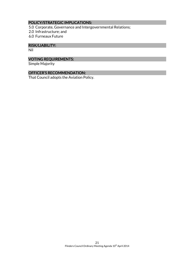# POLICY/STRATEGIC IMPLICATIONS:

- 5.0 Corporate, Governance and Intergovernmental Relations;
- 2.0 Infrastructure; and
- 6.0 Furneaux Future

# RISK/LIABILITY:

Nil

# VOTING REQUIREMENTS:

Simple Majority

# OFFICER'S RECOMMENDATION:

That Council adopts the Aviation Policy.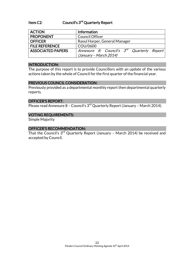#### Item C2: Council's 3<sup>rd</sup> Quarterly Report

| <b>ACTION</b>            | <b>Information</b>                                     |
|--------------------------|--------------------------------------------------------|
| <b>PROPONENT</b>         | Council Officer                                        |
| <b>OFFICER</b>           | Raoul Harper, General Manager                          |
| <b>FILE REFERENCE</b>    | COU/0600                                               |
| <b>ASSOCIATED PAPERS</b> | Annexure 8: Council's 3 <sup>rd</sup> Quarterly Report |
|                          | (January - March 2014)                                 |

#### INTRODUCTION:

The purpose of this report is to provide Councillors with an update of the various actions taken by the whole of Council for the first quarter of the financial year.

#### PREVIOUS COUNCIL CONSIDERATION:

Previously provided as a departmental monthly report then departmental quarterly reports.

#### OFFICER'S REPORT:

Please read Annexure 8 - Council's  $3<sup>rd</sup>$  Quarterly Report (January - March 2014).

# VOTING REQUIREMENTS:

Simple Majority

#### OFFICER'S RECOMMENDATION:

That the Council's 3<sup>rd</sup> Quarterly Report (January - March 2014) be received and accepted by Council.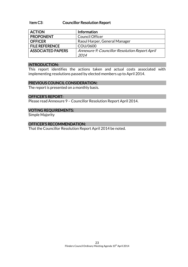#### Item C3: Councillor Resolution Report

| <b>ACTION</b>            | Information                                    |
|--------------------------|------------------------------------------------|
| <b>PROPONENT</b>         | <b>Council Officer</b>                         |
| <b>OFFICER</b>           | Raoul Harper, General Manager                  |
| <b>FILE REFERENCE</b>    | COU/0600                                       |
| <b>ASSOCIATED PAPERS</b> | Annexure 9: Councillor Resolution Report April |
|                          | 2014                                           |

#### INTRODUCTION:

This report identifies the actions taken and actual costs associated with implementing resolutions passed by elected members up to April 2014.

#### PREVIOUS COUNCIL CONSIDERATION:

The report is presented on a monthly basis.

#### OFFICER'S REPORT:

Please read Annexure 9 – Councillor Resolution Report April 2014.

#### VOTING REQUIREMENTS:

Simple Majority

#### OFFICER'S RECOMMENDATION:

That the Councillor Resolution Report April 2014 be noted.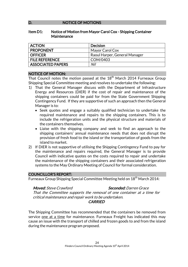#### D. NOTICE OF MOTIONS

#### Item D1: Notice of Motion from Mayor Carol Cox - Shipping Container **Maintenance**

| <b>ACTION</b>            | Decision                      |
|--------------------------|-------------------------------|
| <b>PROPONENT</b>         | Mayor Carol Cox               |
| <b>OFFICER</b>           | Raoul Harper, General Manager |
| <b>FILE REFERENCE</b>    | COM/0403                      |
| <b>ASSOCIATED PAPERS</b> | Nil                           |

#### NOTICE OF MOTION:

That Council notes the motion passed at the 18<sup>th</sup> March 2014 Furneaux Group Shipping Special Committee meeting and resolves to undertake the following:

- 1) That the General Manager discuss with the Department of Infrastructure Energy and Resources (DIER) if the cost of repair and maintenance of the shipping containers could be paid for from the State Government Shipping Contingency Fund. If they are supportive of such an approach then the General Manager is to:
	- Seek quotes and engage a suitably qualified technician to undertake the required maintenance and repairs to the shipping containers. This is to include the refrigeration units and the physical structure and materials of the containers themselves.
	- Liaise with the shipping company and seek to find an approach to the shipping containers' annual maintenance needs that does not disrupt the provision of fresh food to the island or the transportation of goods from the island to market.
- 2) If DIER is not supportive of utilising the Shipping Contingency Fund to pay for the maintenance and repairs required, the General Manager is to provide Council with indicative quotes on the costs required to repair and undertake the maintenance of the shipping containers and their associated refrigeration systems to the May Ordinary Meeting of Council for formal consideration.

#### COUNCILLOR'S REPORT:

Furneaux Group Shipping Special Committee Meeting held on 18<sup>th</sup> March 2014:

#### Moved: Steve Crawford Seconded: Darren Grace

That the Committee supports the removal of one container at a time for critical maintenance and repair work to be undertaken.

### **CARRIED**

The Shipping Committee has recommended that the containers be removed from service one at a time for maintenance. Furneaux Freight has indicated this may cause an issue with the transport of chilled and frozen goods to and from the island during the maintenance program proposed.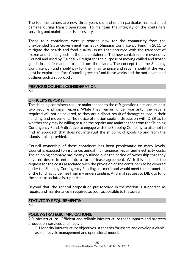The four containers are now three years old and one in particular has sustained damage during transit operations. To maintain the integrity of the containers servicing and maintenance is necessary.

These four containers were purchased new for the community from the unexpended State Government Furneaux Shipping Contingency Fund in 2011 to mitigate the health and food quality issues that occurred with the transport of frozen and chilled goods in the old containers. The new containers are owned by Council and used by Furneaux Freight for the purpose of moving chilled and frozen goods in a safe manner to and from the islands. The concept that the Shipping Contingency Fund should pay for their maintenance and repair should at the very least be explored before Council agrees to fund these works and the motion at hand outlines such an approach.

#### PREVIOUS COUNCIL CONSIDERATION:

Nil

#### OFFICER'S REPORTS:

The shipping containers require maintenance to the refrigeration units and at least two require physical repairs. While they remain under warranty, the repairs required will not be covered, as they are a direct result of damage caused in their handling and movement. The notice of motion seeks a discussion with DIER as to whether they may be willing to fund the repairs and maintenance from the Shipping Contingency Fund. A directive to engage with the Shipping Company to attempt to find an approach that does not interrupt the shipping of goods to and from the islands is also provided.

Council ownership of these containers has been problematic on many levels. Council is exposed to insurance, annual maintenance, repair and electricity costs. The shipping company has clearly outlined over the period of ownership that they have no desire to enter into a formal lease agreement. With this in mind, the request for the costs associated with the provision of the containers to be covered under the Shipping Contingency Funding has merit and would meet the parameters of the funding guidelines from my understanding. A formal request to DIER to fund the costs associated is supported.

Beyond that, the general proposition put forward in the motion is supported as repairs and maintenance is required as soon as possible to the assets.

### STATUTORY REQUIREMENTS:

Nil

### POLICY/STRATEGIC IMPLICATIONS:

2.0 Infrastructure - Efficient and reliable infrastructure that supports and protects production, services and lifestyle.

2.1 Identify infrastructure objectives, standards for assets and develop a viable, asset lifecycle management and operational model.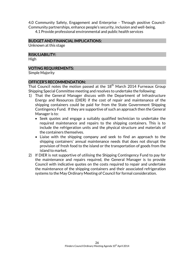4.0 Community Safety, Engagement and Enterprise - Through positive Council-Community partnerships, enhance people's security, inclusion and well-being. 4.1 Provide professional environmental and public health services

#### BUDGET AND FINANCIAL IMPLICATIONS:

Unknown at this stage

#### RISK/LIABILITY:

High

#### VOTING REQUIREMENTS:

Simple Majority

#### OFFICER'S RECOMMENDATION:

That Council notes the motion passed at the  $18<sup>th</sup>$  March 2014 Furneaux Group Shipping Special Committee meeting and resolves to undertake the following:

- 1) That the General Manager discuss with the Department of Infrastructure Energy and Resources (DIER) if the cost of repair and maintenance of the shipping containers could be paid for from the State Government Shipping Contingency Fund. If they are supportive of such an approach then the General Manager is to:
	- Seek quotes and engage a suitably qualified technician to undertake the required maintenance and repairs to the shipping containers. This is to include the refrigeration units and the physical structure and materials of the containers themselves.
	- Liaise with the shipping company and seek to find an approach to the shipping containers' annual maintenance needs that does not disrupt the provision of fresh food to the island or the transportation of goods from the island to market.
- 2) If DIER is not supportive of utilising the Shipping Contingency Fund to pay for the maintenance and repairs required, the General Manager is to provide Council with indicative quotes on the costs required to repair and undertake the maintenance of the shipping containers and their associated refrigeration systems to the May Ordinary Meeting of Council for formal consideration.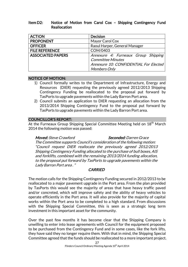#### Item D2: Notice of Motion from Carol Cox – Shipping Contingency Fund Reallocation

| <b>ACTION</b>            | <b>Decision</b>                       |
|--------------------------|---------------------------------------|
| <b>PROPONENT</b>         | Mayor Carol Cox                       |
| <b>OFFICER</b>           | Raoul Harper, General Manager         |
| <b>FILE REFERENCE</b>    | COM/0403                              |
| <b>ASSOCIATED PAPERS</b> | Annexure 4: Furneaux Group Shipping   |
|                          | <b>Committee Minutes</b>              |
|                          | Annexure 10: CONFIDENTIAL For Elected |
|                          | <b>Members Only</b>                   |

### NOTICE OF MOTION:

- 1) Council formally writes to the Department of Infrastructure, Energy and Resources (DIER) requesting the previously agreed 2012/2013 Shipping Contingency Funding be reallocated to the proposal put forward by TasPorts to upgrade pavements within the Lady Barron Port area.
- 2) Council submits an application to DIER requesting an allocation from the 2013/2014 Shipping Contingency Fund to the proposal put forward by TasPorts to upgrade pavements within the Lady Barron Port area.

### COUNCILLOR'S REPORT:

At the Furneaux Group Shipping Special Committee Meeting held on 18<sup>th</sup> March 2014 the following motion was passed:

Moved: Steve Crawford Seconded: Darren Grace The Committee supports Council's consideration of the following motion: "Council request DIER reallocate the previously agreed 2012/2013 Shipping Contingency Funding allocated to the purchase of bull boxes, AIS and forklifts, combined with the remaining 2013/2014 funding allocation, to the proposal put forward by TasPorts to upgrade pavements within the Lady Barron Port area . "

### **CARRIED**

The motion calls for the Shipping Contingency Funding secured in 2012/2013 to be reallocated to a major pavement upgrade in the Port area. From the plan provided by TasPorts this would see the majority of areas that have heavy traffic paved and/or concreted, which will improve safety and the ability of heavy vehicles to operate efficiently in the Port area. It will also provide for the majority of capital works within the Port area to be completed to a high standard. From discussions with the Shipping Special Committee, this is seen as a strategic long term investment in this important asset for the community.

Over the past few months it has become clear that the Shipping Company is unwilling to enter into lease agreements with Council for the equipment proposed to be purchased from the Contingency Fund and in some cases, like the fork lifts, they have said they no longer require them. With that in mind, the Shipping Special Committee agreed that the funds should be reallocated to a more important project.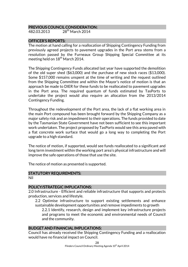#### PREVIOUS COUNCIL CONSIDERATION:

482.03.2013 28th March 2014

#### OFFICER'S REPORTS:

The motion at hand calling for a reallocation of Shipping Contingency Funding from previously agreed projects to pavement upgrades in the Port area stems from a resolution passed by the Furneaux Group Shipping Special Committee at its meeting held on  $18^{th}$  March 2014.

The Shipping Contingency Funds allocated last year have supported the demolition of the old super shed (\$63,000) and the purchase of new stock races (\$13,000). Some \$157,000 remains unspent at the time of writing and the request outlined from the Shipping Committee and within the Mayor's notice of motion is that an approach be made to DIER for these funds to be reallocated to pavement upgrades in the Port area. The required quantum of funds estimated by TasPorts to undertake the project would also require an allocation from the 2013/2014 Contingency Funding.

Throughout the redevelopment of the Port area, the lack of a flat working area in the main Port compound has been brought forward by the Shipping Company as a major safety risk and an impediment to their operations. The funds provided to date by the Tasmanian State Government have not been sufficient to see this important work undertaken. The project proposed by TasPorts would see this area paved with a flat concrete work surface that would go a long way to completing the Port upgrade to a high standard.

The notice of motion, if supported, would see funds reallocated to a significant and long term investment within the working port area's physical infrastructure and will improve the safe operations of those that use the site.

The notice of motion as presented is supported.

#### STATUTORY REQUIREMENTS:

Nil

#### POLICY/STRATEGIC IMPLICATIONS:

2.0 Infrastructure - Efficient and reliable infrastructure that supports and protects production, services and lifestyle.

2.2 Optimise infrastructure to support existing settlements and enhance sustainable development opportunities and remove impediments to growth

2.2.1 Identify, research, design and implement key infrastructure projects and programs to meet the economic and environmental needs of Council and the community.

#### BUDGET AND FINANCIAL IMPLICATIONS:

Council has already received the Shipping Contingency Funding and a reallocation would have no financial impact on Council.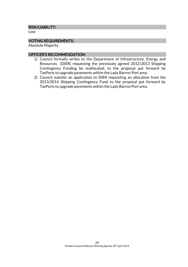#### RISK/LIABILITY:

Low

# VOTING REQUIREMENTS:

Absolute Majority

#### OFFICER'S RECOMMENDATION:

- 1) Council formally writes to the Department of Infrastructure, Energy and Resources (DIER) requesting the previously agreed 2012/2013 Shipping Contingency Funding be reallocated, to the proposal put forward by TasPorts to upgrade pavements within the Lady Barron Port area.
- 2) Council submits an application to DIER requesting an allocation from the 2013/2014 Shipping Contingency Fund to the proposal put forward by TasPorts to upgrade pavements within the Lady Barron Port area.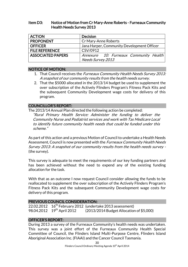#### Item D3: Notice of Motion from Cr Mary-Anne Roberts - Furneaux Community Health Needs Survey 2013

| <b>ACTION</b>            | <b>Decision</b>                            |
|--------------------------|--------------------------------------------|
| <b>PROPONENT</b>         | Cr Mary-Anne Roberts                       |
| <b>OFFICER</b>           | Jana Harper, Community Development Officer |
| <b>FILE REFERENCE</b>    | CSV/0912                                   |
| <b>ASSOCIATED PAPERS</b> | Annexure 10: Furneaux Community Health     |
|                          | Needs Survey 2013                          |

#### NOTICE OF MOTION:

- 1. That Council receives the *Furneaux Community Health Needs Survey 2013:* A snapshot of our community results from the health needs survey.
- 2. That the \$5000 allocated in the 2013/14 budget be used to supplement the over subscription of the Actively Flinders Program's Fitness Pack Kits and the subsequent Community Development wage costs for delivery of this program.

### COUNCILLOR'S REPORT:

The 2013/14 Annual Plan directed the following action be completed:

"Rural Primary Health Service: Administer the funding to deliver the Community Nurse and Podiatrist services and work with Tas Medicare Local to identify future community health needs that could be funded under this scheme."

As part of this action and a previous Motion of Council to undertake a Health Needs Assessment, Council is now presented with the *Furneaux Community Health Needs* Survey 2013: A snapshot of our community results from the health needs survey - (the survey).

This survey is adequate to meet the requirements of our key funding partners and has been achieved without the need to expend any of the existing funding allocation for the task.

With that as an outcome I now request Council consider allowing the funds to be reallocated to supplement the over subscription of the Actively Flinders Program's Fitness Pack Kits and the subsequent Community Development wage costs for delivery of this program.

#### PREVIOUS COUNCIL CONSIDERATION:

22.02.2012  $16^{th}$  February 2012 (undertake 2013 assessment) 98.04.2012 19<sup>th</sup> April 2012 (2013/2014 Budget Allocation of \$5,000)

#### OFFICER'S REPORT:

During 2013 a survey of the Furneaux Community's health needs was undertaken. This survey was a joint effort of the Furneaux Community Health Special Committee of Council, the Flinders Island Multi-Purpose Centre, Flinders Island Aboriginal Association Inc. (FIAAI) and the Cancer Council Tasmania.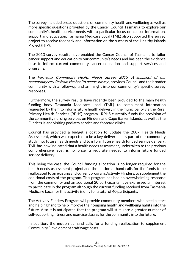The survey included broad questions on community health and wellbeing as well as more specific questions provided by the Cancer Council Tasmania to explore our community's health service needs with a particular focus on cancer information, support and education. Tasmania Medicare Local (TML) also supported the survey project to receive feedback and information on the success of the Healthy Islands Project (HIP).

The 2013 survey results have enabled the Cancer Council of Tasmania to tailor cancer support and education to our community's needs and has been the evidence base to inform current community cancer education and support services and programs.

The Furneaux Community Health Needs Survey 2013: A snapshot of our community results from the health needs survey , provides Council and the broader community with a follow-up and an insight into our community's specific survey responses.

Furthermore, the survey results have recently been provided to the main health funding body Tasmania Medicare Local (TML) to compliment information requested by them to inform future health delivery in the municipality via the Rural Primary Health Services (RPHS) program. RPHS currently funds the provision of the community nursing services on Flinders and Cape Barren Islands, as well as the Flinders Island visiting podiatry service and footcare clinics.

Council has provided a budget allocation to update the 2007 Health Needs Assessment, which was expected to be a key deliverable as part of our community study into future health needs and to inform future health funded service delivery. TML has now indicated that a health needs assessment, undertaken to the previous comprehensive level, is no longer a requisite needed to inform future funded service delivery.

This being the case, the Council funding allocation is no longer required for the health needs assessment project and the motion at hand calls for the funds to be reallocated to an existing and current program, Actively Flinders, to supplement the additional costs of the program. This program has had an overwhelming response from the community and an additional 20 participants have expressed an interest to participate in the program although the current funding received from Tasmania Medicare Local for this activity is only for a total of 40 participants.

The Actively Flinders Program will provide community members who need a start and helping hand to help improve their ongoing health and wellbeing habits into the future. Also it is anticipated that the program will stimulate a greater number of self-supporting fitness and exercise classes for the community into the future.

In addition, the motion at hand calls for a funding reallocation to supplement Community Development staff wage costs.